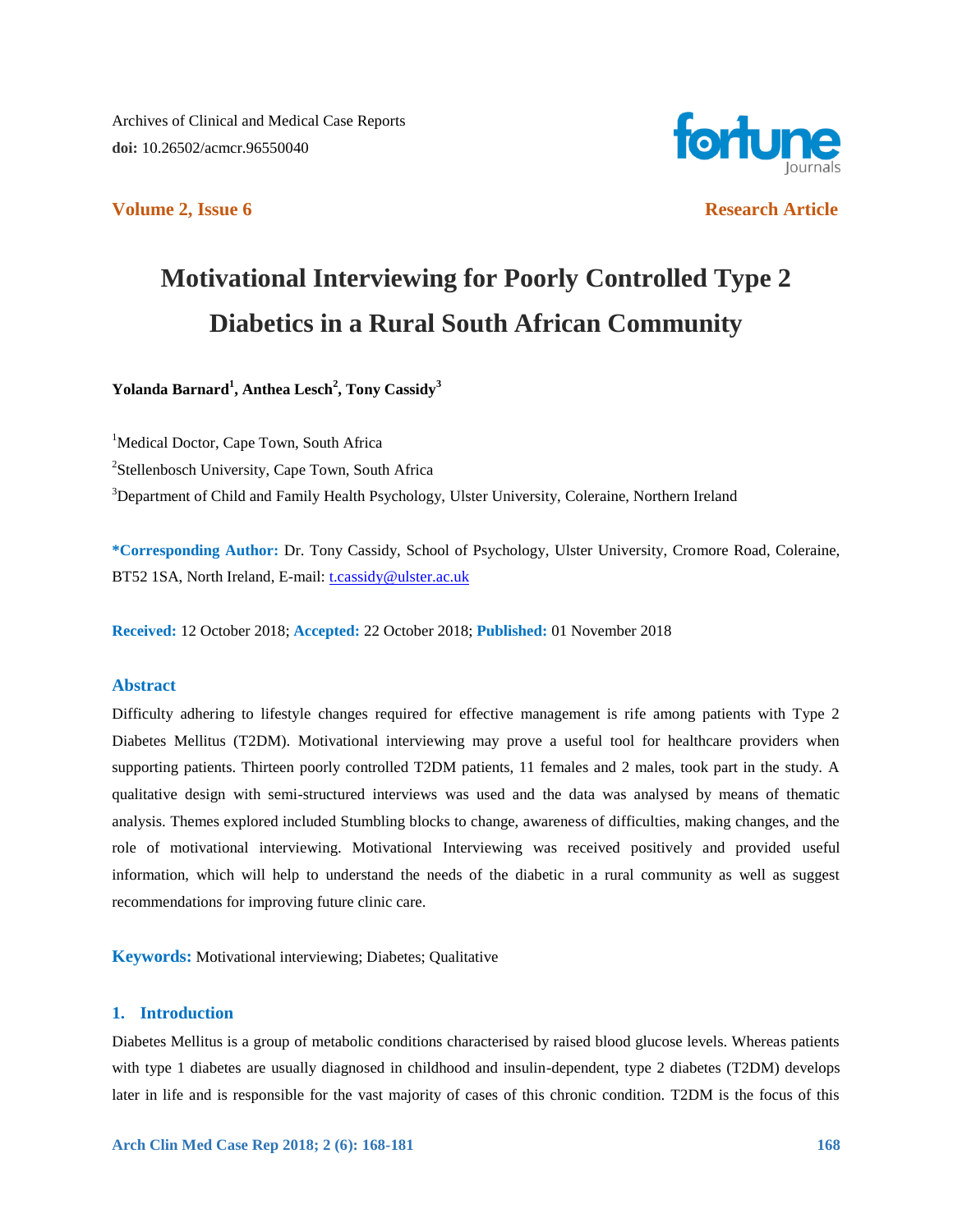Archives of Clinical and Medical Case Reports **doi:** 10.26502/acmcr.96550040



**Volume 2, Issue 6 Research Article** 

# **Motivational Interviewing for Poorly Controlled Type 2 Diabetics in a Rural South African Community**

**Yolanda Barnard<sup>1</sup> , Anthea Lesch<sup>2</sup> , Tony Cassidy<sup>3</sup>**

<sup>1</sup>Medical Doctor, Cape Town, South Africa <sup>2</sup>Stellenbosch University, Cape Town, South Africa <sup>3</sup>Department of Child and Family Health Psychology, Ulster University, Coleraine, Northern Ireland

**\*Corresponding Author:** Dr. Tony Cassidy, School of Psychology, Ulster University, Cromore Road, Coleraine, BT52 1SA, North Ireland, E-mail[: t.cassidy@ulster.ac.uk](mailto:t.cassidy@ulster.ac.uk)

**Received:** 12 October 2018; **Accepted:** 22 October 2018; **Published:** 01 November 2018

# **Abstract**

Difficulty adhering to lifestyle changes required for effective management is rife among patients with Type 2 Diabetes Mellitus (T2DM). Motivational interviewing may prove a useful tool for healthcare providers when supporting patients. Thirteen poorly controlled T2DM patients, 11 females and 2 males, took part in the study. A qualitative design with semi-structured interviews was used and the data was analysed by means of thematic analysis. Themes explored included Stumbling blocks to change, awareness of difficulties, making changes, and the role of motivational interviewing. Motivational Interviewing was received positively and provided useful information, which will help to understand the needs of the diabetic in a rural community as well as suggest recommendations for improving future clinic care.

**Keywords:** Motivational interviewing; Diabetes; Qualitative

# **1. Introduction**

Diabetes Mellitus is a group of metabolic conditions characterised by raised blood glucose levels. Whereas patients with type 1 diabetes are usually diagnosed in childhood and insulin-dependent, type 2 diabetes (T2DM) develops later in life and is responsible for the vast majority of cases of this chronic condition. T2DM is the focus of this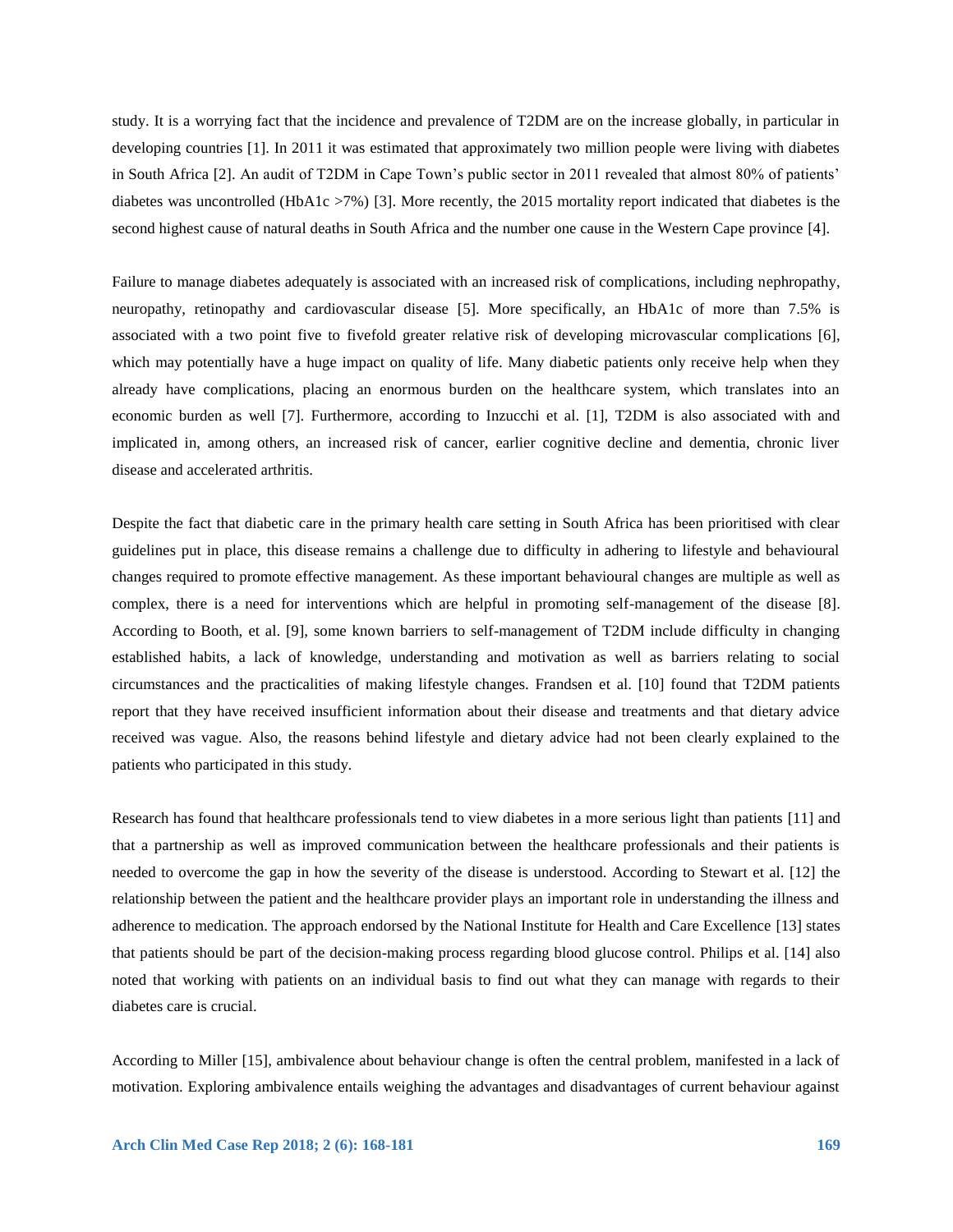study. It is a worrying fact that the incidence and prevalence of T2DM are on the increase globally, in particular in developing countries [1]. In 2011 it was estimated that approximately two million people were living with diabetes in South Africa [2]. An audit of T2DM in Cape Town's public sector in 2011 revealed that almost 80% of patients' diabetes was uncontrolled (HbA1c >7%) [3]. More recently, the 2015 mortality report indicated that diabetes is the second highest cause of natural deaths in South Africa and the number one cause in the Western Cape province [4].

Failure to manage diabetes adequately is associated with an increased risk of complications, including nephropathy, neuropathy, retinopathy and cardiovascular disease [5]. More specifically, an HbA1c of more than 7.5% is associated with a two point five to fivefold greater relative risk of developing microvascular complications [6], which may potentially have a huge impact on quality of life. Many diabetic patients only receive help when they already have complications, placing an enormous burden on the healthcare system, which translates into an economic burden as well [7]. Furthermore, according to Inzucchi et al. [1], T2DM is also associated with and implicated in, among others, an increased risk of cancer, earlier cognitive decline and dementia, chronic liver disease and accelerated arthritis.

Despite the fact that diabetic care in the primary health care setting in South Africa has been prioritised with clear guidelines put in place, this disease remains a challenge due to difficulty in adhering to lifestyle and behavioural changes required to promote effective management. As these important behavioural changes are multiple as well as complex, there is a need for interventions which are helpful in promoting self-management of the disease [8]. According to Booth, et al. [9], some known barriers to self-management of T2DM include difficulty in changing established habits, a lack of knowledge, understanding and motivation as well as barriers relating to social circumstances and the practicalities of making lifestyle changes. Frandsen et al. [10] found that T2DM patients report that they have received insufficient information about their disease and treatments and that dietary advice received was vague. Also, the reasons behind lifestyle and dietary advice had not been clearly explained to the patients who participated in this study.

Research has found that healthcare professionals tend to view diabetes in a more serious light than patients [11] and that a partnership as well as improved communication between the healthcare professionals and their patients is needed to overcome the gap in how the severity of the disease is understood. According to Stewart et al. [12] the relationship between the patient and the healthcare provider plays an important role in understanding the illness and adherence to medication. The approach endorsed by the National Institute for Health and Care Excellence [13] states that patients should be part of the decision-making process regarding blood glucose control. Philips et al. [14] also noted that working with patients on an individual basis to find out what they can manage with regards to their diabetes care is crucial.

According to Miller [15], ambivalence about behaviour change is often the central problem, manifested in a lack of motivation. Exploring ambivalence entails weighing the advantages and disadvantages of current behaviour against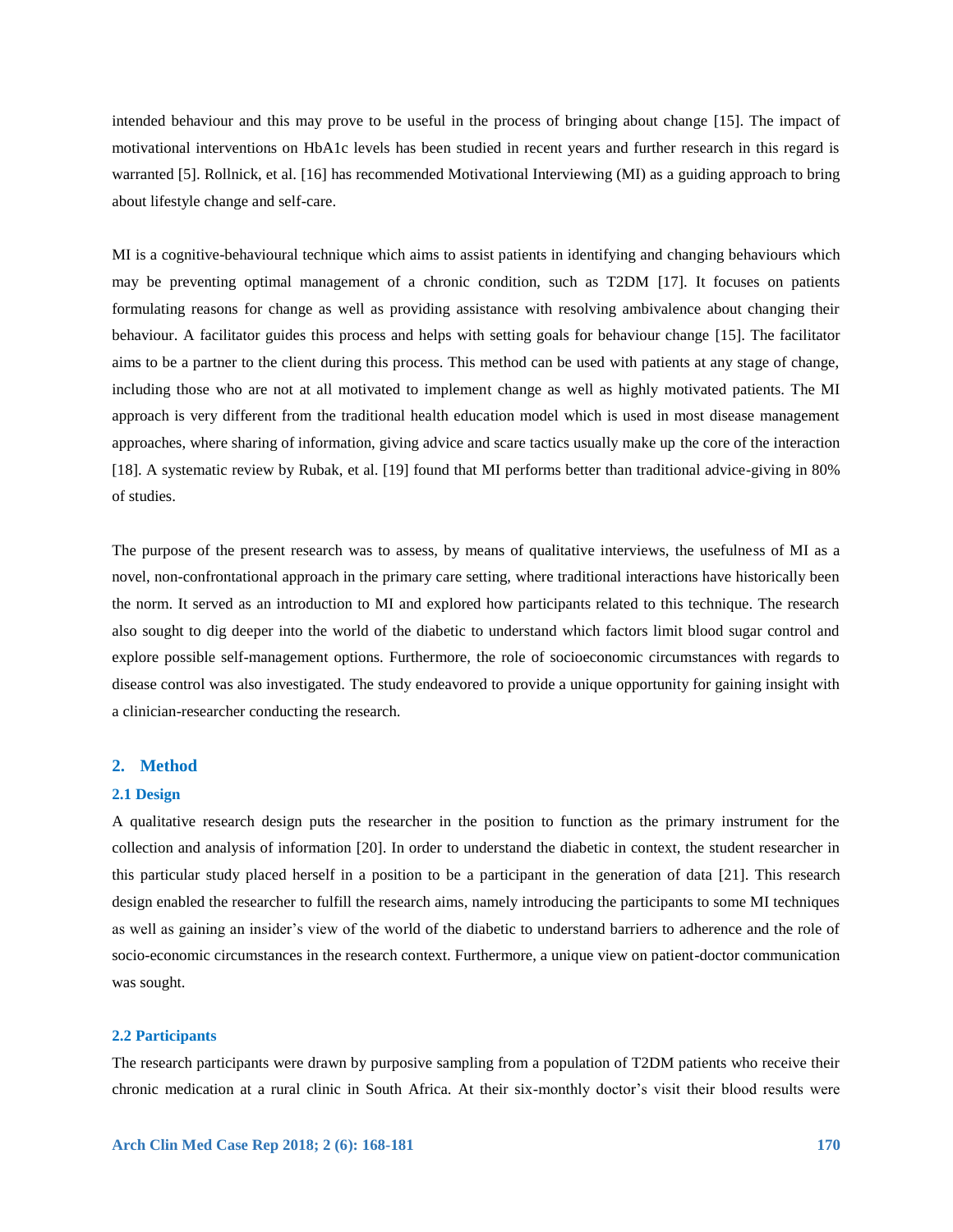intended behaviour and this may prove to be useful in the process of bringing about change [15]. The impact of motivational interventions on HbA1c levels has been studied in recent years and further research in this regard is warranted [5]. Rollnick, et al. [16] has recommended Motivational Interviewing (MI) as a guiding approach to bring about lifestyle change and self-care.

MI is a cognitive-behavioural technique which aims to assist patients in identifying and changing behaviours which may be preventing optimal management of a chronic condition, such as T2DM [17]. It focuses on patients formulating reasons for change as well as providing assistance with resolving ambivalence about changing their behaviour. A facilitator guides this process and helps with setting goals for behaviour change [15]. The facilitator aims to be a partner to the client during this process. This method can be used with patients at any stage of change, including those who are not at all motivated to implement change as well as highly motivated patients. The MI approach is very different from the traditional health education model which is used in most disease management approaches, where sharing of information, giving advice and scare tactics usually make up the core of the interaction [18]. A systematic review by Rubak, et al. [19] found that MI performs better than traditional advice-giving in 80% of studies.

The purpose of the present research was to assess, by means of qualitative interviews, the usefulness of MI as a novel, non-confrontational approach in the primary care setting, where traditional interactions have historically been the norm. It served as an introduction to MI and explored how participants related to this technique. The research also sought to dig deeper into the world of the diabetic to understand which factors limit blood sugar control and explore possible self-management options. Furthermore, the role of socioeconomic circumstances with regards to disease control was also investigated. The study endeavored to provide a unique opportunity for gaining insight with a clinician-researcher conducting the research.

#### **2. Method**

#### **2.1 Design**

A qualitative research design puts the researcher in the position to function as the primary instrument for the collection and analysis of information [20]. In order to understand the diabetic in context, the student researcher in this particular study placed herself in a position to be a participant in the generation of data [21]. This research design enabled the researcher to fulfill the research aims, namely introducing the participants to some MI techniques as well as gaining an insider's view of the world of the diabetic to understand barriers to adherence and the role of socio-economic circumstances in the research context. Furthermore, a unique view on patient-doctor communication was sought.

#### **2.2 Participants**

The research participants were drawn by purposive sampling from a population of T2DM patients who receive their chronic medication at a rural clinic in South Africa. At their six-monthly doctor's visit their blood results were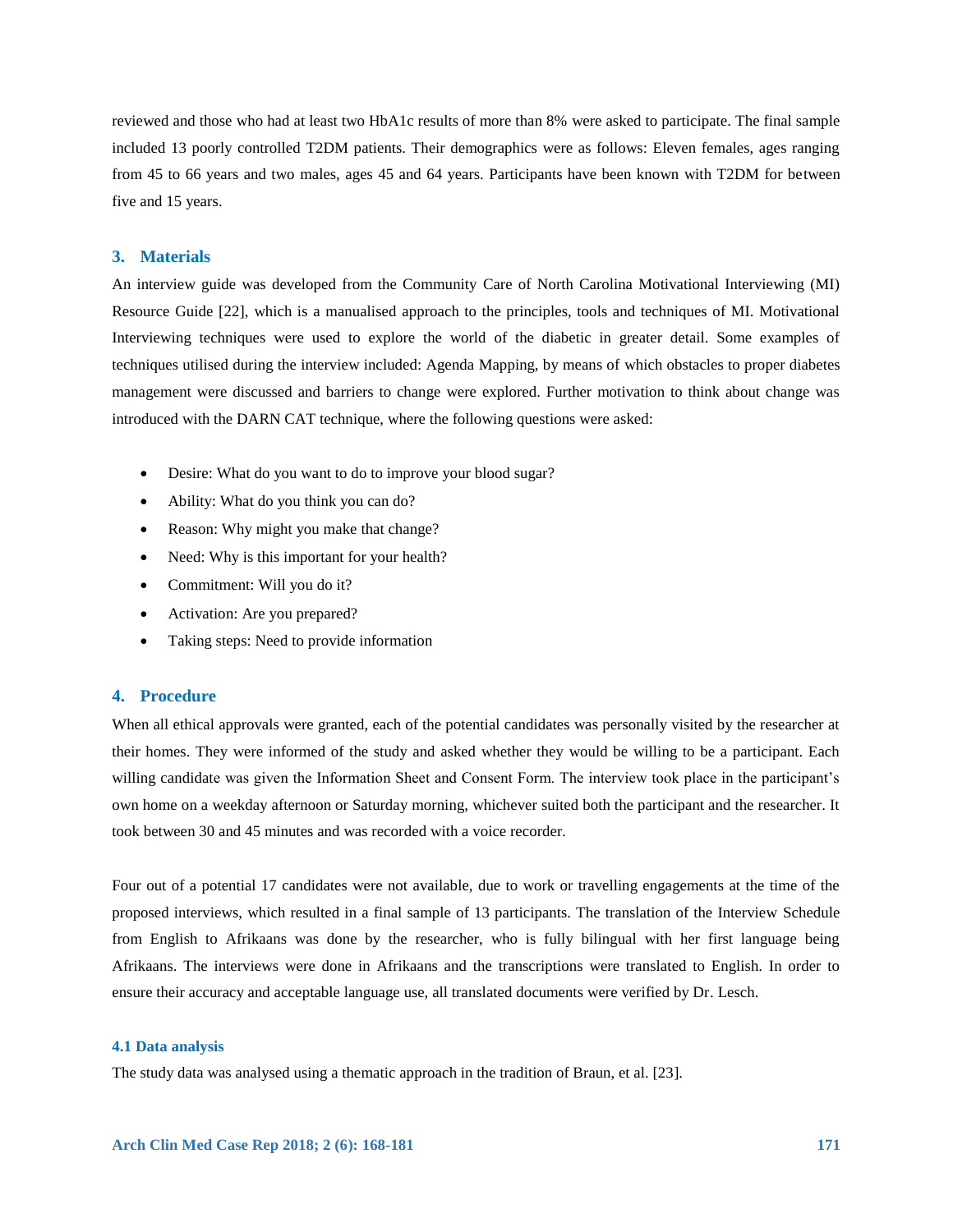reviewed and those who had at least two HbA1c results of more than 8% were asked to participate. The final sample included 13 poorly controlled T2DM patients. Their demographics were as follows: Eleven females, ages ranging from 45 to 66 years and two males, ages 45 and 64 years. Participants have been known with T2DM for between five and 15 years.

# **3. Materials**

An interview guide was developed from the Community Care of North Carolina Motivational Interviewing (MI) Resource Guide [22], which is a manualised approach to the principles, tools and techniques of MI. Motivational Interviewing techniques were used to explore the world of the diabetic in greater detail. Some examples of techniques utilised during the interview included: Agenda Mapping, by means of which obstacles to proper diabetes management were discussed and barriers to change were explored. Further motivation to think about change was introduced with the DARN CAT technique, where the following questions were asked:

- Desire: What do you want to do to improve your blood sugar?
- Ability: What do you think you can do?
- Reason: Why might you make that change?
- Need: Why is this important for your health?
- Commitment: Will you do it?
- Activation: Are you prepared?
- Taking steps: Need to provide information

# **4. Procedure**

When all ethical approvals were granted, each of the potential candidates was personally visited by the researcher at their homes. They were informed of the study and asked whether they would be willing to be a participant. Each willing candidate was given the Information Sheet and Consent Form. The interview took place in the participant's own home on a weekday afternoon or Saturday morning, whichever suited both the participant and the researcher. It took between 30 and 45 minutes and was recorded with a voice recorder.

Four out of a potential 17 candidates were not available, due to work or travelling engagements at the time of the proposed interviews, which resulted in a final sample of 13 participants. The translation of the Interview Schedule from English to Afrikaans was done by the researcher, who is fully bilingual with her first language being Afrikaans. The interviews were done in Afrikaans and the transcriptions were translated to English. In order to ensure their accuracy and acceptable language use, all translated documents were verified by Dr. Lesch.

#### **4.1 Data analysis**

The study data was analysed using a thematic approach in the tradition of Braun, et al. [23].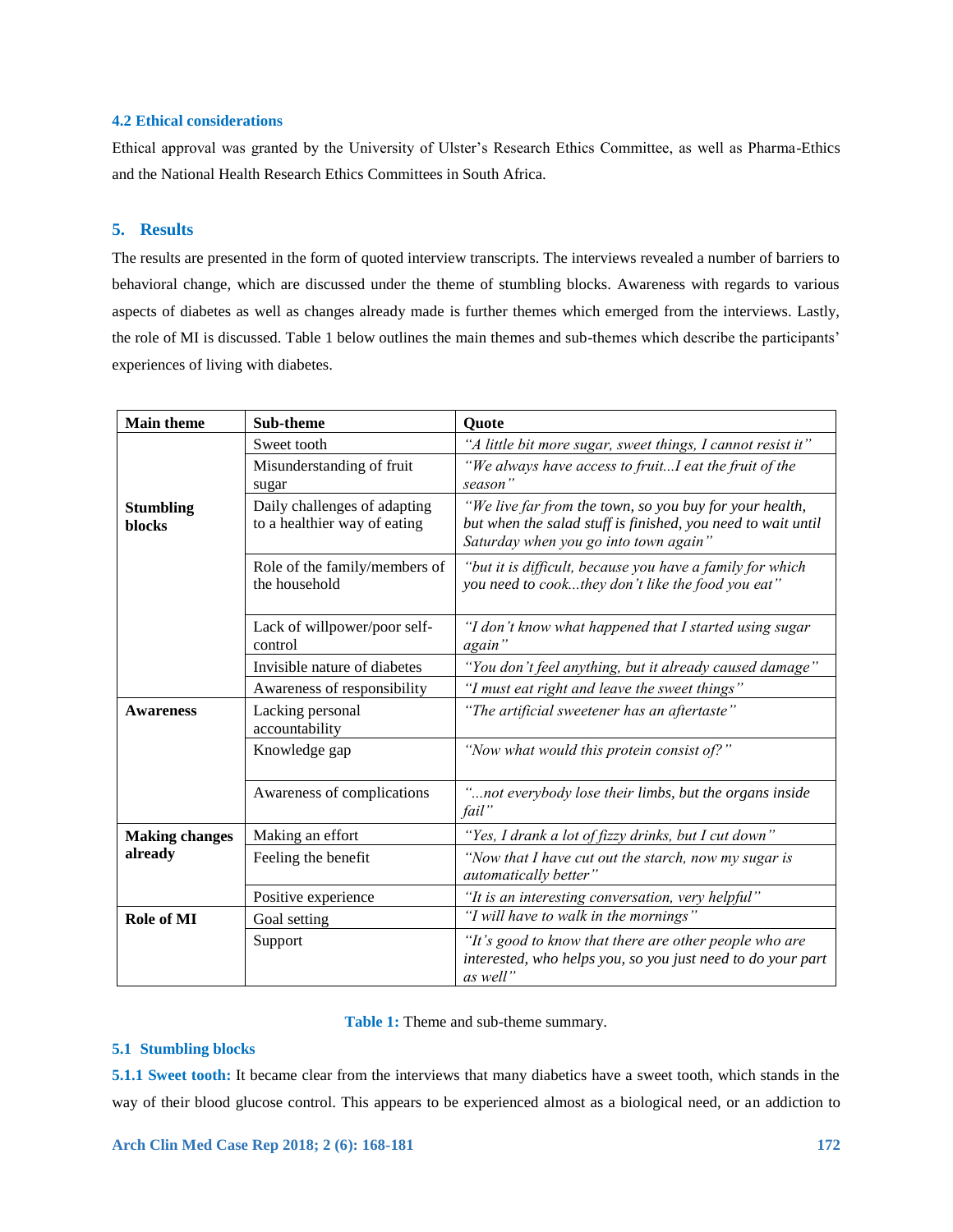# **4.2 Ethical considerations**

Ethical approval was granted by the University of Ulster's Research Ethics Committee, as well as Pharma-Ethics and the National Health Research Ethics Committees in South Africa.

# **5. Results**

The results are presented in the form of quoted interview transcripts. The interviews revealed a number of barriers to behavioral change, which are discussed under the theme of stumbling blocks. Awareness with regards to various aspects of diabetes as well as changes already made is further themes which emerged from the interviews. Lastly, the role of MI is discussed. Table 1 below outlines the main themes and sub-themes which describe the participants' experiences of living with diabetes.

| <b>Main theme</b>          | Sub-theme                                                    | Quote                                                                                                                                                            |
|----------------------------|--------------------------------------------------------------|------------------------------------------------------------------------------------------------------------------------------------------------------------------|
|                            | Sweet tooth                                                  | "A little bit more sugar, sweet things, I cannot resist it"                                                                                                      |
|                            | Misunderstanding of fruit<br>sugar                           | "We always have access to fruitI eat the fruit of the<br>season"                                                                                                 |
| <b>Stumbling</b><br>blocks | Daily challenges of adapting<br>to a healthier way of eating | "We live far from the town, so you buy for your health,<br>but when the salad stuff is finished, you need to wait until<br>Saturday when you go into town again" |
|                            | Role of the family/members of<br>the household               | "but it is difficult, because you have a family for which<br>you need to cookthey don't like the food you eat"                                                   |
|                            | Lack of willpower/poor self-<br>control                      | "I don't know what happened that I started using sugar<br>again"                                                                                                 |
|                            | Invisible nature of diabetes                                 | "You don't feel anything, but it already caused damage"                                                                                                          |
|                            | Awareness of responsibility                                  | "I must eat right and leave the sweet things"                                                                                                                    |
| <b>Awareness</b>           | Lacking personal<br>accountability                           | "The artificial sweetener has an aftertaste"                                                                                                                     |
|                            | Knowledge gap                                                | "Now what would this protein consist of?"                                                                                                                        |
|                            | Awareness of complications                                   | "not everybody lose their limbs, but the organs inside<br>fail"                                                                                                  |
| <b>Making changes</b>      | Making an effort                                             | "Yes, I drank a lot of fizzy drinks, but I cut down"                                                                                                             |
| already                    | Feeling the benefit                                          | "Now that I have cut out the starch, now my sugar is<br><i>automatically better</i> "                                                                            |
|                            | Positive experience                                          | "It is an interesting conversation, very helpful"                                                                                                                |
| Role of MI                 | Goal setting                                                 | "I will have to walk in the mornings"                                                                                                                            |
|                            | Support                                                      | "It's good to know that there are other people who are<br>interested, who helps you, so you just need to do your part<br>as well"                                |

**Table 1:** Theme and sub-theme summary.

# **5.1 Stumbling blocks**

**5.1.1 Sweet tooth:** It became clear from the interviews that many diabetics have a sweet tooth, which stands in the way of their blood glucose control. This appears to be experienced almost as a biological need, or an addiction to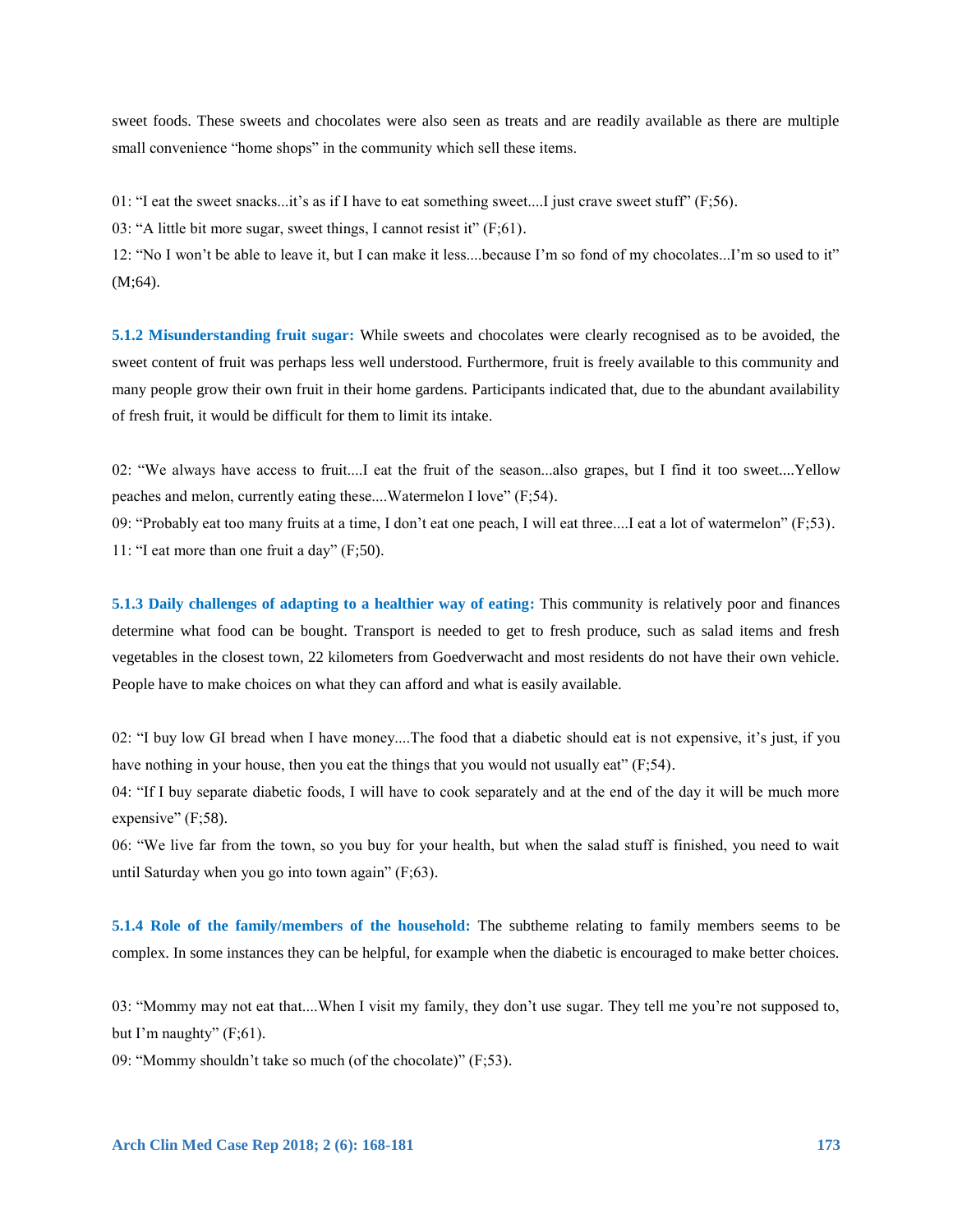sweet foods. These sweets and chocolates were also seen as treats and are readily available as there are multiple small convenience "home shops" in the community which sell these items.

01: "I eat the sweet snacks...it's as if I have to eat something sweet....I just crave sweet stuff" (F;56).

03: "A little bit more sugar, sweet things, I cannot resist it" (F;61).

12: "No I won't be able to leave it, but I can make it less....because I'm so fond of my chocolates...I'm so used to it" (M;64).

**5.1.2 Misunderstanding fruit sugar:** While sweets and chocolates were clearly recognised as to be avoided, the sweet content of fruit was perhaps less well understood. Furthermore, fruit is freely available to this community and many people grow their own fruit in their home gardens. Participants indicated that, due to the abundant availability of fresh fruit, it would be difficult for them to limit its intake.

02: "We always have access to fruit....I eat the fruit of the season...also grapes, but I find it too sweet....Yellow peaches and melon, currently eating these....Watermelon I love" (F;54).

09: "Probably eat too many fruits at a time, I don't eat one peach, I will eat three....I eat a lot of watermelon" (F;53). 11: "I eat more than one fruit a day" (F;50).

**5.1.3 Daily challenges of adapting to a healthier way of eating:** This community is relatively poor and finances determine what food can be bought. Transport is needed to get to fresh produce, such as salad items and fresh vegetables in the closest town, 22 kilometers from Goedverwacht and most residents do not have their own vehicle. People have to make choices on what they can afford and what is easily available.

02: "I buy low GI bread when I have money....The food that a diabetic should eat is not expensive, it's just, if you have nothing in your house, then you eat the things that you would not usually eat" (F;54).

04: "If I buy separate diabetic foods, I will have to cook separately and at the end of the day it will be much more expensive" (F;58).

06: "We live far from the town, so you buy for your health, but when the salad stuff is finished, you need to wait until Saturday when you go into town again" (F;63).

**5.1.4 Role of the family/members of the household:** The subtheme relating to family members seems to be complex. In some instances they can be helpful, for example when the diabetic is encouraged to make better choices.

03: "Mommy may not eat that....When I visit my family, they don't use sugar. They tell me you're not supposed to, but I'm naughty"  $(F;61)$ .

09: "Mommy shouldn't take so much (of the chocolate)" (F;53).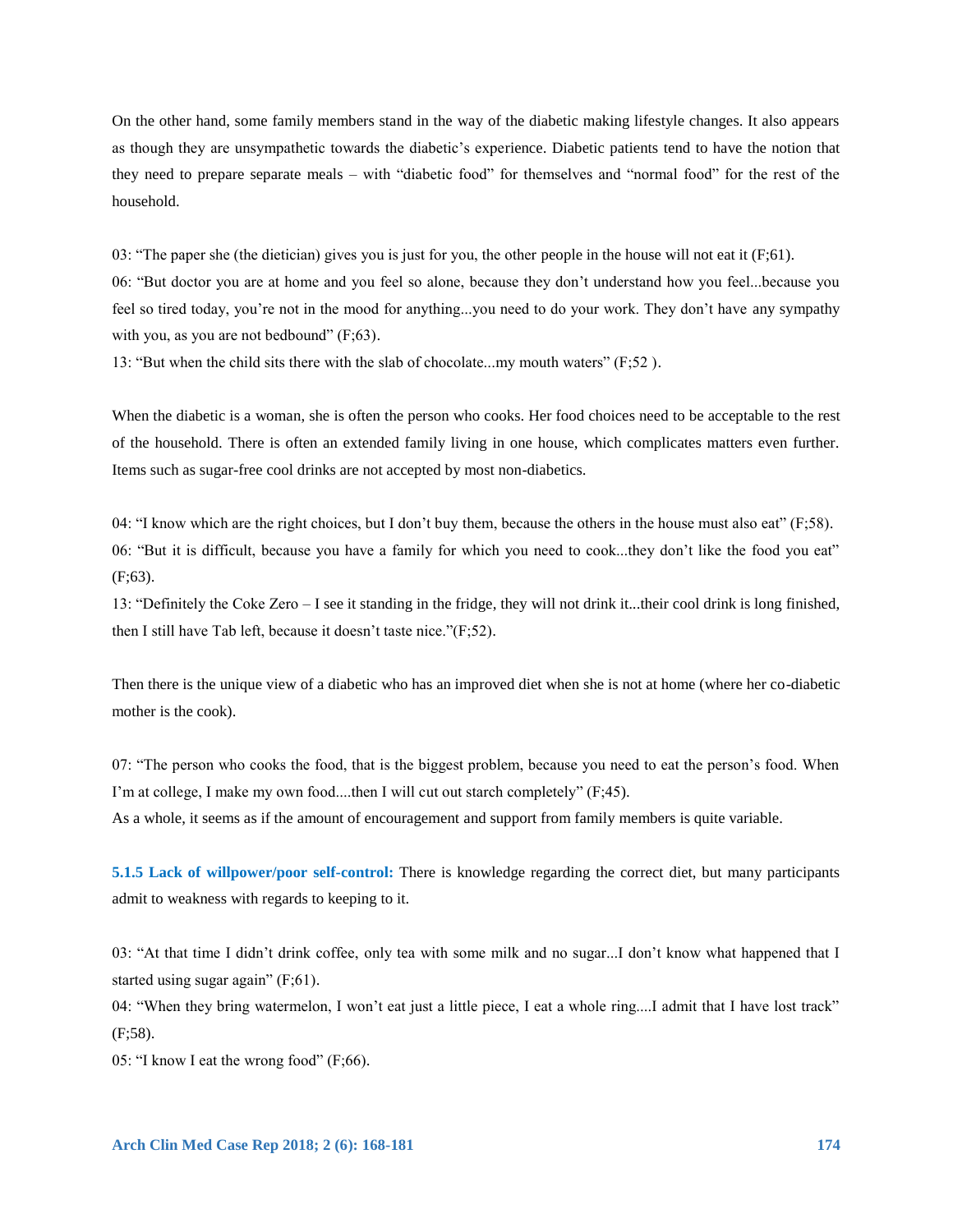On the other hand, some family members stand in the way of the diabetic making lifestyle changes. It also appears as though they are unsympathetic towards the diabetic's experience. Diabetic patients tend to have the notion that they need to prepare separate meals – with "diabetic food" for themselves and "normal food" for the rest of the household.

03: "The paper she (the dietician) gives you is just for you, the other people in the house will not eat it  $(F;61)$ .

06: "But doctor you are at home and you feel so alone, because they don't understand how you feel...because you feel so tired today, you're not in the mood for anything...you need to do your work. They don't have any sympathy with you, as you are not bedbound"  $(F; 63)$ .

13: "But when the child sits there with the slab of chocolate...my mouth waters" (F;52 ).

When the diabetic is a woman, she is often the person who cooks. Her food choices need to be acceptable to the rest of the household. There is often an extended family living in one house, which complicates matters even further. Items such as sugar-free cool drinks are not accepted by most non-diabetics.

04: "I know which are the right choices, but I don't buy them, because the others in the house must also eat"  $(F;58)$ . 06: "But it is difficult, because you have a family for which you need to cook...they don't like the food you eat" (F;63).

13: "Definitely the Coke Zero – I see it standing in the fridge, they will not drink it...their cool drink is long finished, then I still have Tab left, because it doesn't taste nice."(F;52).

Then there is the unique view of a diabetic who has an improved diet when she is not at home (where her co-diabetic mother is the cook).

07: "The person who cooks the food, that is the biggest problem, because you need to eat the person's food. When I'm at college, I make my own food....then I will cut out starch completely" (F;45). As a whole, it seems as if the amount of encouragement and support from family members is quite variable.

**5.1.5 Lack of willpower/poor self-control:** There is knowledge regarding the correct diet, but many participants admit to weakness with regards to keeping to it.

03: "At that time I didn't drink coffee, only tea with some milk and no sugar...I don't know what happened that I started using sugar again" (F;61).

04: "When they bring watermelon, I won't eat just a little piece, I eat a whole ring....I admit that I have lost track" (F;58).

05: "I know I eat the wrong food" (F;66).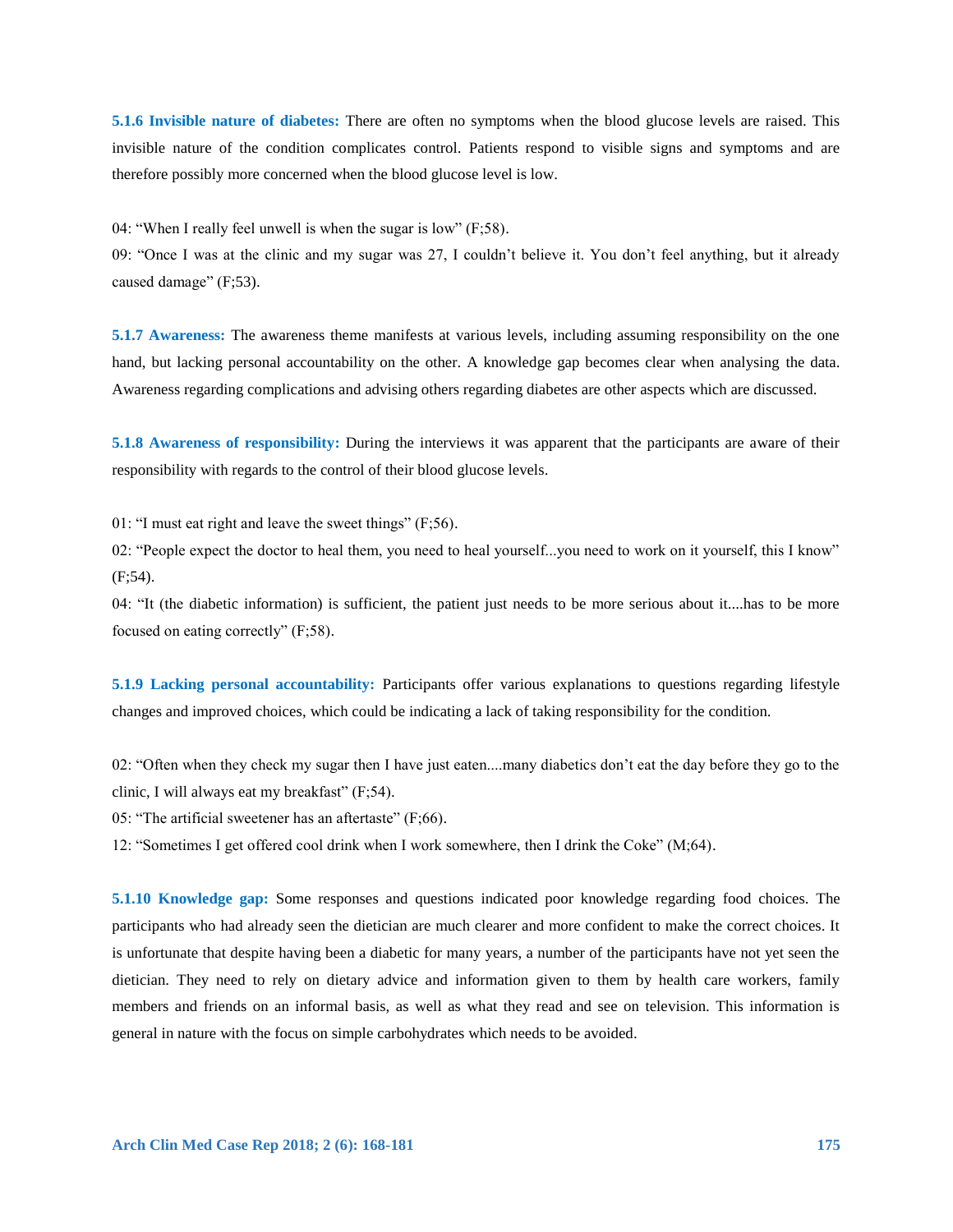**5.1.6 Invisible nature of diabetes:** There are often no symptoms when the blood glucose levels are raised. This invisible nature of the condition complicates control. Patients respond to visible signs and symptoms and are therefore possibly more concerned when the blood glucose level is low.

04: "When I really feel unwell is when the sugar is low" (F;58).

09: "Once I was at the clinic and my sugar was 27, I couldn't believe it. You don't feel anything, but it already caused damage" (F;53).

**5.1.7 Awareness:** The awareness theme manifests at various levels, including assuming responsibility on the one hand, but lacking personal accountability on the other. A knowledge gap becomes clear when analysing the data. Awareness regarding complications and advising others regarding diabetes are other aspects which are discussed.

**5.1.8 Awareness of responsibility:** During the interviews it was apparent that the participants are aware of their responsibility with regards to the control of their blood glucose levels.

01: "I must eat right and leave the sweet things" (F;56).

02: "People expect the doctor to heal them, you need to heal yourself...you need to work on it yourself, this I know" (F;54).

04: "It (the diabetic information) is sufficient, the patient just needs to be more serious about it....has to be more focused on eating correctly" (F;58).

**5.1.9 Lacking personal accountability:** Participants offer various explanations to questions regarding lifestyle changes and improved choices, which could be indicating a lack of taking responsibility for the condition.

02: "Often when they check my sugar then I have just eaten....many diabetics don't eat the day before they go to the clinic, I will always eat my breakfast" (F;54).

05: "The artificial sweetener has an aftertaste" (F;66).

12: "Sometimes I get offered cool drink when I work somewhere, then I drink the Coke" (M;64).

**5.1.10 Knowledge gap:** Some responses and questions indicated poor knowledge regarding food choices. The participants who had already seen the dietician are much clearer and more confident to make the correct choices. It is unfortunate that despite having been a diabetic for many years, a number of the participants have not yet seen the dietician. They need to rely on dietary advice and information given to them by health care workers, family members and friends on an informal basis, as well as what they read and see on television. This information is general in nature with the focus on simple carbohydrates which needs to be avoided.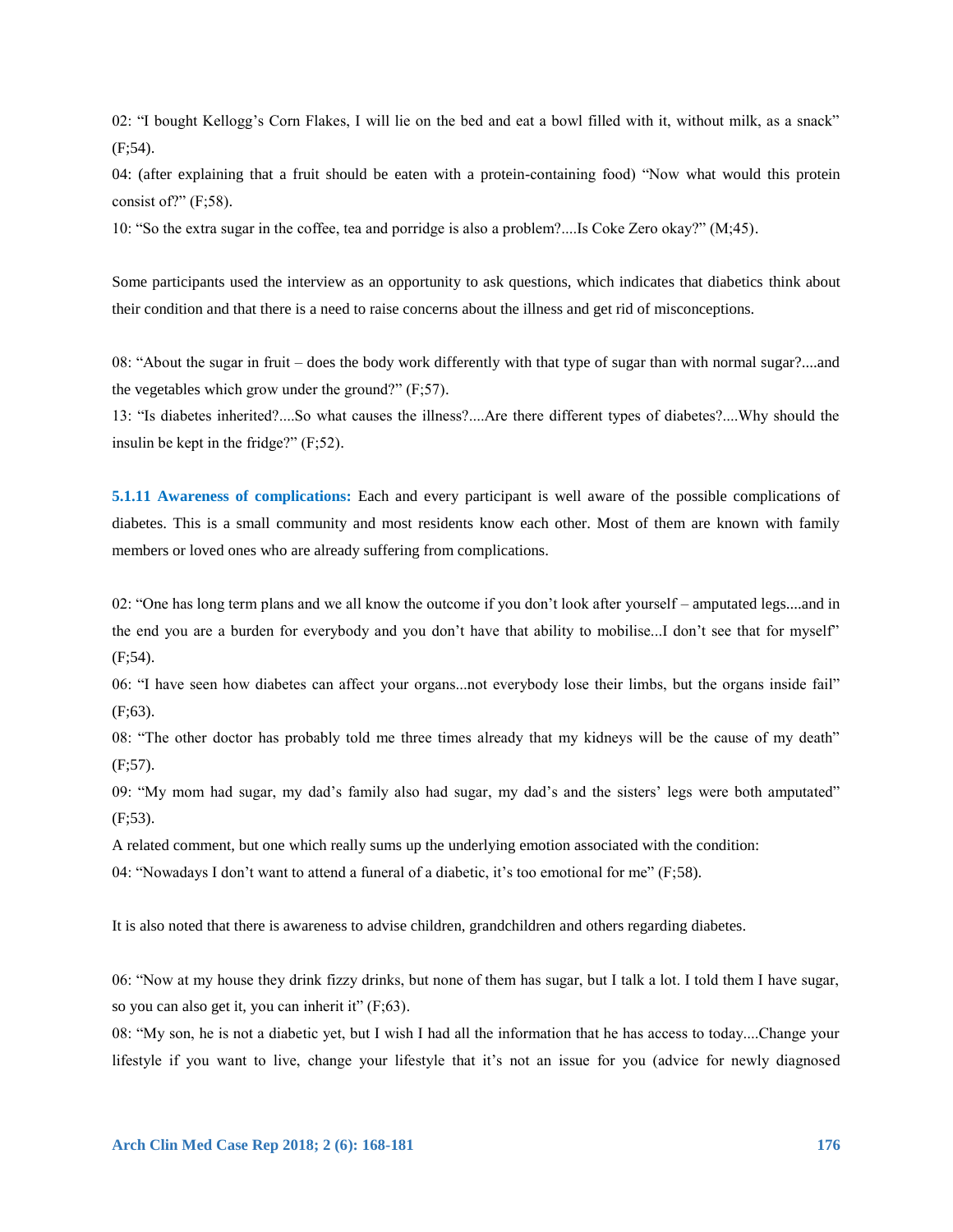02: "I bought Kellogg's Corn Flakes, I will lie on the bed and eat a bowl filled with it, without milk, as a snack" (F;54).

04: (after explaining that a fruit should be eaten with a protein-containing food) "Now what would this protein consist of?"  $(F;58)$ .

10: "So the extra sugar in the coffee, tea and porridge is also a problem?....Is Coke Zero okay?" (M;45).

Some participants used the interview as an opportunity to ask questions, which indicates that diabetics think about their condition and that there is a need to raise concerns about the illness and get rid of misconceptions.

08: "About the sugar in fruit – does the body work differently with that type of sugar than with normal sugar?....and the vegetables which grow under the ground?" (F;57).

13: "Is diabetes inherited?....So what causes the illness?....Are there different types of diabetes?....Why should the insulin be kept in the fridge?" (F;52).

**5.1.11 Awareness of complications:** Each and every participant is well aware of the possible complications of diabetes. This is a small community and most residents know each other. Most of them are known with family members or loved ones who are already suffering from complications.

02: "One has long term plans and we all know the outcome if you don't look after yourself – amputated legs....and in the end you are a burden for everybody and you don't have that ability to mobilise...I don't see that for myself" (F;54).

06: "I have seen how diabetes can affect your organs...not everybody lose their limbs, but the organs inside fail" (F;63).

08: "The other doctor has probably told me three times already that my kidneys will be the cause of my death"  $(F:57)$ .

09: "My mom had sugar, my dad's family also had sugar, my dad's and the sisters' legs were both amputated" (F;53).

A related comment, but one which really sums up the underlying emotion associated with the condition:

04: "Nowadays I don't want to attend a funeral of a diabetic, it's too emotional for me" (F;58).

It is also noted that there is awareness to advise children, grandchildren and others regarding diabetes.

06: "Now at my house they drink fizzy drinks, but none of them has sugar, but I talk a lot. I told them I have sugar, so you can also get it, you can inherit it"  $(F; 63)$ .

08: "My son, he is not a diabetic yet, but I wish I had all the information that he has access to today....Change your lifestyle if you want to live, change your lifestyle that it's not an issue for you (advice for newly diagnosed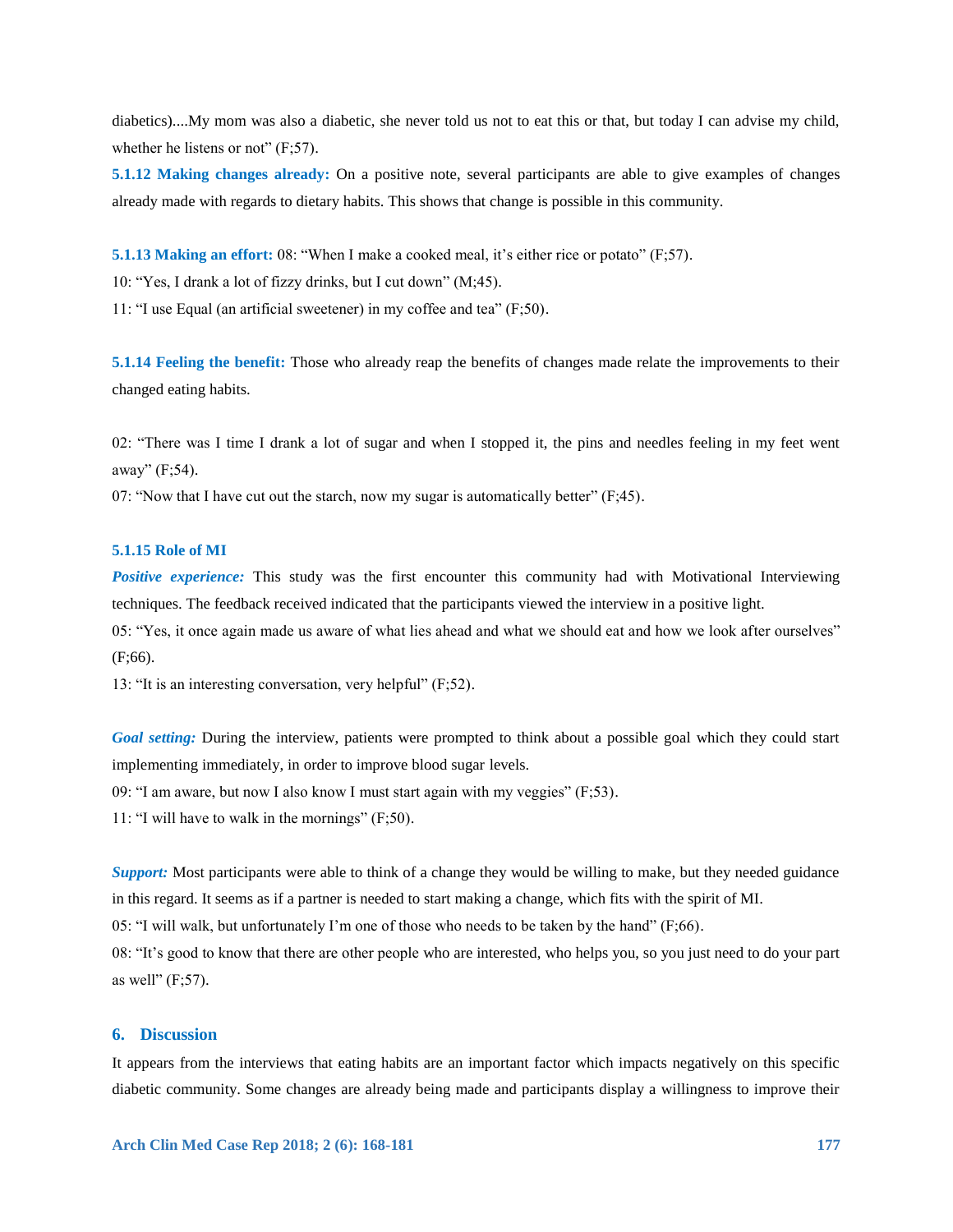diabetics)....My mom was also a diabetic, she never told us not to eat this or that, but today I can advise my child, whether he listens or not"  $(F; 57)$ .

**5.1.12 Making changes already:** On a positive note, several participants are able to give examples of changes already made with regards to dietary habits. This shows that change is possible in this community.

**5.1.13 Making an effort: 08: "When I make a cooked meal, it's either rice or potato" (F;57).** 

10: "Yes, I drank a lot of fizzy drinks, but I cut down" (M;45).

11: "I use Equal (an artificial sweetener) in my coffee and tea" (F;50).

**5.1.14 Feeling the benefit:** Those who already reap the benefits of changes made relate the improvements to their changed eating habits.

02: "There was I time I drank a lot of sugar and when I stopped it, the pins and needles feeling in my feet went away" (F;54).

07: "Now that I have cut out the starch, now my sugar is automatically better"  $(F;45)$ .

### **5.1.15 Role of MI**

*Positive experience:* This study was the first encounter this community had with Motivational Interviewing techniques. The feedback received indicated that the participants viewed the interview in a positive light.

05: "Yes, it once again made us aware of what lies ahead and what we should eat and how we look after ourselves" (F;66).

13: "It is an interesting conversation, very helpful" (F;52).

*Goal setting:* During the interview, patients were prompted to think about a possible goal which they could start implementing immediately, in order to improve blood sugar levels.

09: "I am aware, but now I also know I must start again with my veggies"  $(F:53)$ .

11: "I will have to walk in the mornings" (F;50).

*Support:* Most participants were able to think of a change they would be willing to make, but they needed guidance in this regard. It seems as if a partner is needed to start making a change, which fits with the spirit of MI.

05: "I will walk, but unfortunately I'm one of those who needs to be taken by the hand" (F;66).

08: "It's good to know that there are other people who are interested, who helps you, so you just need to do your part as well"  $(F:57)$ .

# **6. Discussion**

It appears from the interviews that eating habits are an important factor which impacts negatively on this specific diabetic community. Some changes are already being made and participants display a willingness to improve their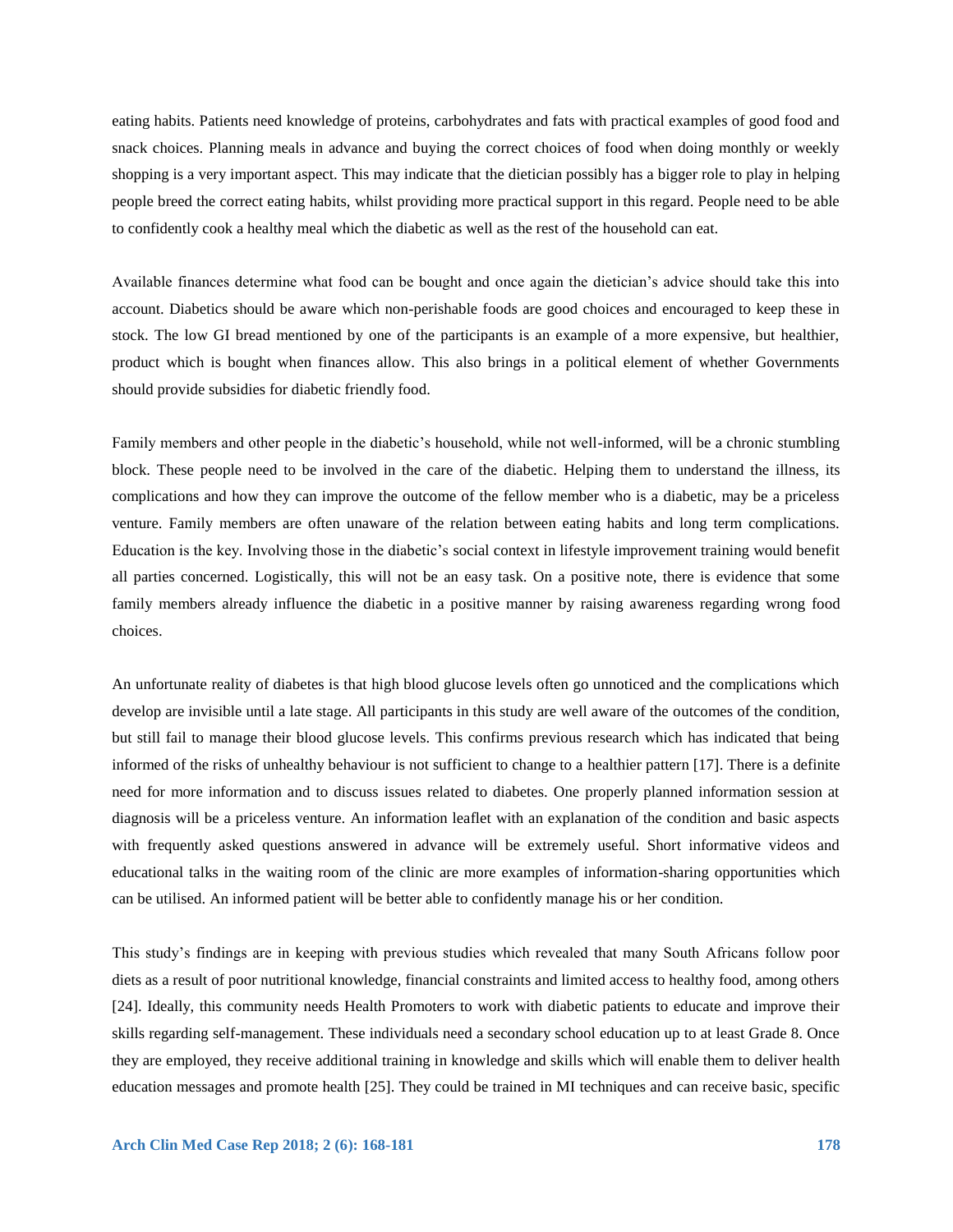eating habits. Patients need knowledge of proteins, carbohydrates and fats with practical examples of good food and snack choices. Planning meals in advance and buying the correct choices of food when doing monthly or weekly shopping is a very important aspect. This may indicate that the dietician possibly has a bigger role to play in helping people breed the correct eating habits, whilst providing more practical support in this regard. People need to be able to confidently cook a healthy meal which the diabetic as well as the rest of the household can eat.

Available finances determine what food can be bought and once again the dietician's advice should take this into account. Diabetics should be aware which non-perishable foods are good choices and encouraged to keep these in stock. The low GI bread mentioned by one of the participants is an example of a more expensive, but healthier, product which is bought when finances allow. This also brings in a political element of whether Governments should provide subsidies for diabetic friendly food.

Family members and other people in the diabetic's household, while not well-informed, will be a chronic stumbling block. These people need to be involved in the care of the diabetic. Helping them to understand the illness, its complications and how they can improve the outcome of the fellow member who is a diabetic, may be a priceless venture. Family members are often unaware of the relation between eating habits and long term complications. Education is the key. Involving those in the diabetic's social context in lifestyle improvement training would benefit all parties concerned. Logistically, this will not be an easy task. On a positive note, there is evidence that some family members already influence the diabetic in a positive manner by raising awareness regarding wrong food choices.

An unfortunate reality of diabetes is that high blood glucose levels often go unnoticed and the complications which develop are invisible until a late stage. All participants in this study are well aware of the outcomes of the condition, but still fail to manage their blood glucose levels. This confirms previous research which has indicated that being informed of the risks of unhealthy behaviour is not sufficient to change to a healthier pattern [17]. There is a definite need for more information and to discuss issues related to diabetes. One properly planned information session at diagnosis will be a priceless venture. An information leaflet with an explanation of the condition and basic aspects with frequently asked questions answered in advance will be extremely useful. Short informative videos and educational talks in the waiting room of the clinic are more examples of information-sharing opportunities which can be utilised. An informed patient will be better able to confidently manage his or her condition.

This study's findings are in keeping with previous studies which revealed that many South Africans follow poor diets as a result of poor nutritional knowledge, financial constraints and limited access to healthy food, among others [24]. Ideally, this community needs Health Promoters to work with diabetic patients to educate and improve their skills regarding self-management. These individuals need a secondary school education up to at least Grade 8. Once they are employed, they receive additional training in knowledge and skills which will enable them to deliver health education messages and promote health [25]. They could be trained in MI techniques and can receive basic, specific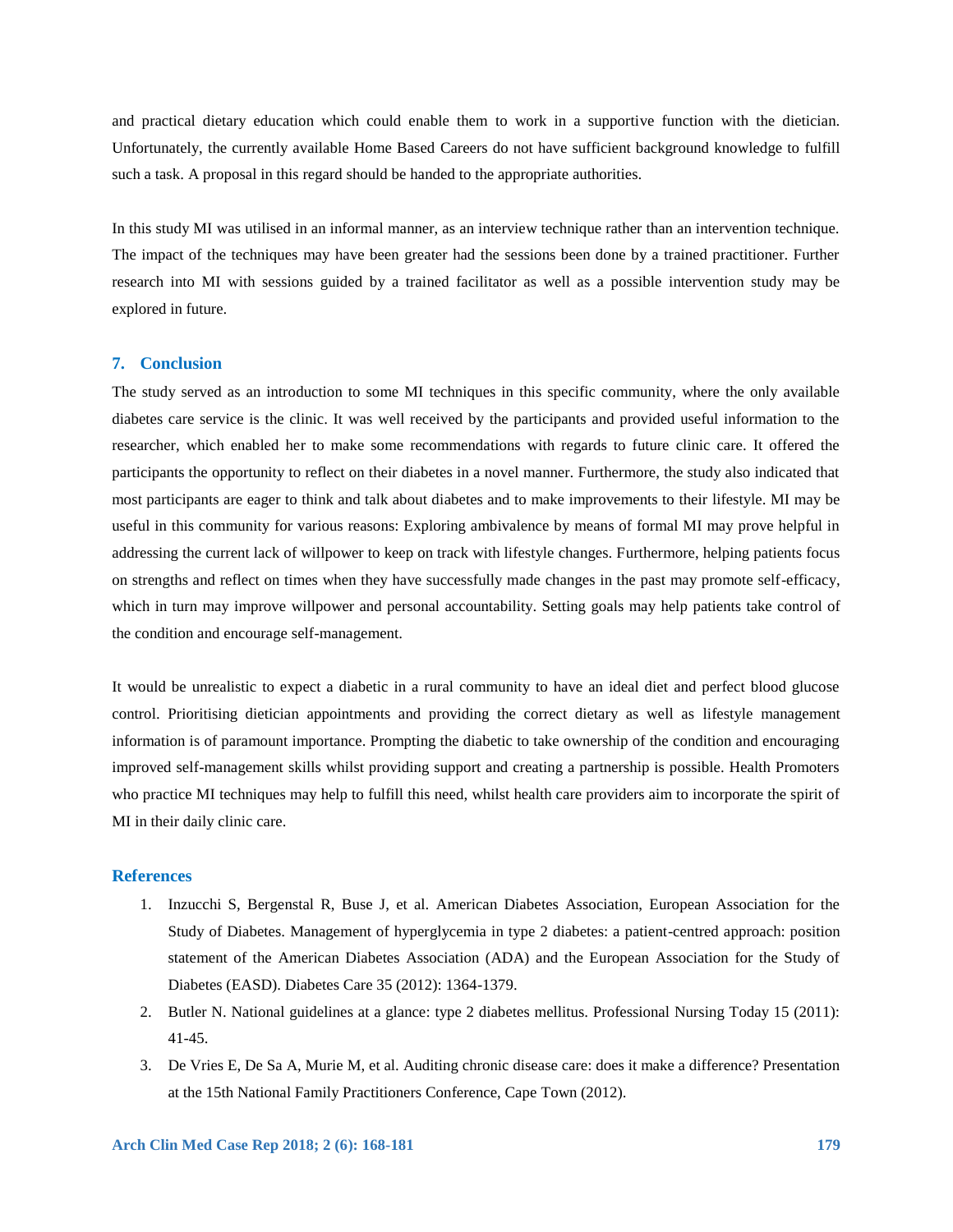and practical dietary education which could enable them to work in a supportive function with the dietician. Unfortunately, the currently available Home Based Careers do not have sufficient background knowledge to fulfill such a task. A proposal in this regard should be handed to the appropriate authorities.

In this study MI was utilised in an informal manner, as an interview technique rather than an intervention technique. The impact of the techniques may have been greater had the sessions been done by a trained practitioner. Further research into MI with sessions guided by a trained facilitator as well as a possible intervention study may be explored in future.

#### **7. Conclusion**

The study served as an introduction to some MI techniques in this specific community, where the only available diabetes care service is the clinic. It was well received by the participants and provided useful information to the researcher, which enabled her to make some recommendations with regards to future clinic care. It offered the participants the opportunity to reflect on their diabetes in a novel manner. Furthermore, the study also indicated that most participants are eager to think and talk about diabetes and to make improvements to their lifestyle. MI may be useful in this community for various reasons: Exploring ambivalence by means of formal MI may prove helpful in addressing the current lack of willpower to keep on track with lifestyle changes. Furthermore, helping patients focus on strengths and reflect on times when they have successfully made changes in the past may promote self-efficacy, which in turn may improve willpower and personal accountability. Setting goals may help patients take control of the condition and encourage self-management.

It would be unrealistic to expect a diabetic in a rural community to have an ideal diet and perfect blood glucose control. Prioritising dietician appointments and providing the correct dietary as well as lifestyle management information is of paramount importance. Prompting the diabetic to take ownership of the condition and encouraging improved self-management skills whilst providing support and creating a partnership is possible. Health Promoters who practice MI techniques may help to fulfill this need, whilst health care providers aim to incorporate the spirit of MI in their daily clinic care.

# **References**

- 1. Inzucchi S, Bergenstal R, Buse J, et al. American Diabetes Association, European Association for the Study of Diabetes. Management of hyperglycemia in type 2 diabetes: a patient-centred approach: position statement of the American Diabetes Association (ADA) and the European Association for the Study of Diabetes (EASD). Diabetes Care 35 (2012): 1364-1379.
- 2. Butler N. National guidelines at a glance: type 2 diabetes mellitus. Professional Nursing Today 15 (2011): 41-45.
- 3. De Vries E, De Sa A, Murie M, et al. Auditing chronic disease care: does it make a difference? Presentation at the 15th National Family Practitioners Conference, Cape Town (2012).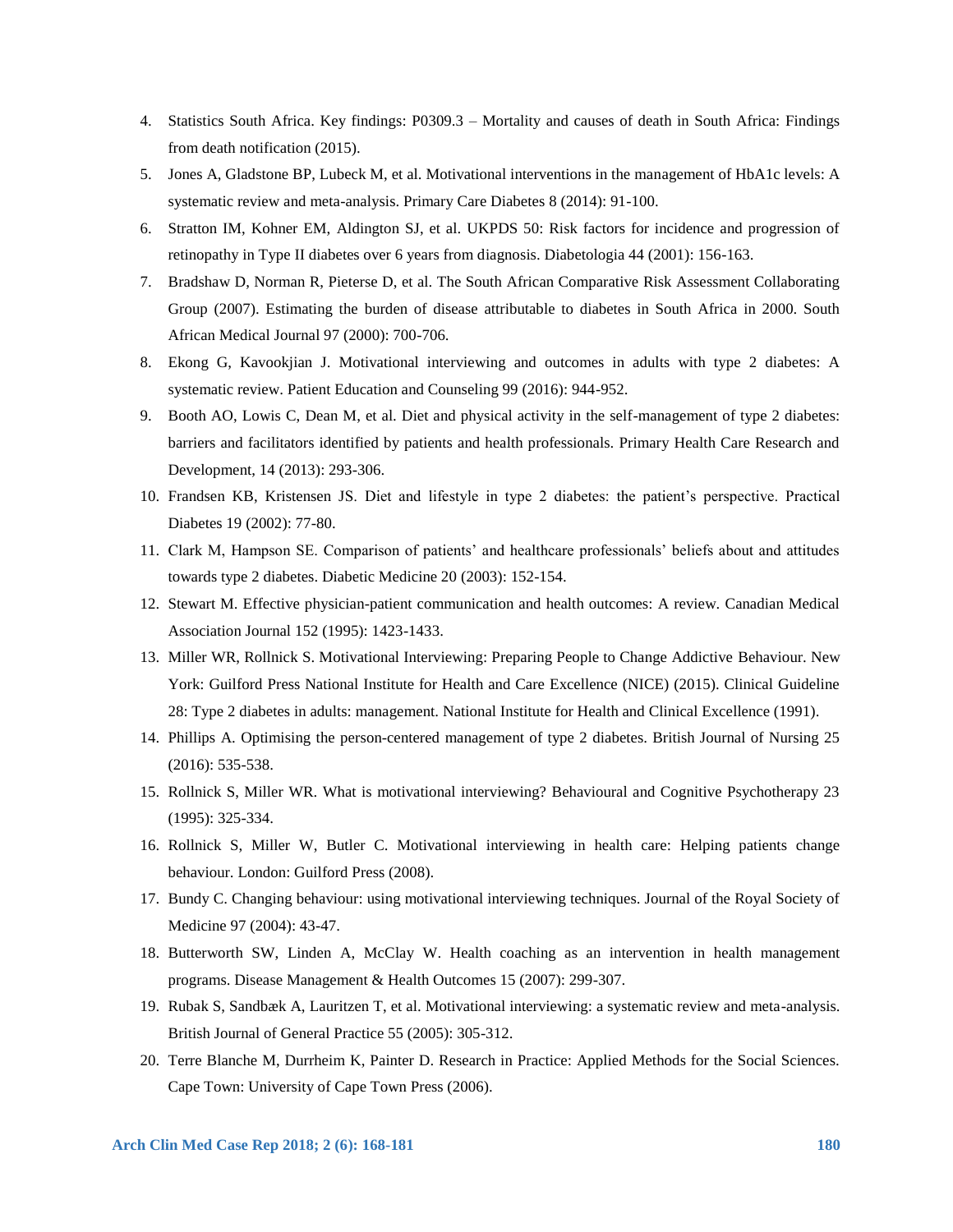- 4. Statistics South Africa. Key findings: P0309.3 Mortality and causes of death in South Africa: Findings from death notification (2015).
- 5. Jones A, Gladstone BP, Lubeck M, et al. Motivational interventions in the management of HbA1c levels: A systematic review and meta-analysis. Primary Care Diabetes 8 (2014): 91-100.
- 6. Stratton IM, Kohner EM, Aldington SJ, et al. UKPDS 50: Risk factors for incidence and progression of retinopathy in Type II diabetes over 6 years from diagnosis. Diabetologia 44 (2001): 156-163.
- 7. Bradshaw D, Norman R, Pieterse D, et al. The South African Comparative Risk Assessment Collaborating Group (2007). Estimating the burden of disease attributable to diabetes in South Africa in 2000. South African Medical Journal 97 (2000): 700-706.
- 8. Ekong G, Kavookjian J. Motivational interviewing and outcomes in adults with type 2 diabetes: A systematic review. Patient Education and Counseling 99 (2016): 944-952.
- 9. Booth AO, Lowis C, Dean M, et al. Diet and physical activity in the self-management of type 2 diabetes: barriers and facilitators identified by patients and health professionals. Primary Health Care Research and Development, 14 (2013): 293-306.
- 10. Frandsen KB, Kristensen JS. Diet and lifestyle in type 2 diabetes: the patient's perspective. Practical Diabetes 19 (2002): 77-80.
- 11. Clark M, Hampson SE. Comparison of patients' and healthcare professionals' beliefs about and attitudes towards type 2 diabetes. Diabetic Medicine 20 (2003): 152-154.
- 12. Stewart M. Effective physician-patient communication and health outcomes: A review. Canadian Medical Association Journal 152 (1995): 1423-1433.
- 13. Miller WR, Rollnick S. Motivational Interviewing: Preparing People to Change Addictive Behaviour. New York: Guilford Press National Institute for Health and Care Excellence (NICE) (2015). Clinical Guideline 28: Type 2 diabetes in adults: management. National Institute for Health and Clinical Excellence (1991).
- 14. Phillips A. Optimising the person-centered management of type 2 diabetes. British Journal of Nursing 25 (2016): 535-538.
- 15. Rollnick S, Miller WR. What is motivational interviewing? Behavioural and Cognitive Psychotherapy 23 (1995): 325-334.
- 16. Rollnick S, Miller W, Butler C. Motivational interviewing in health care: Helping patients change behaviour. London: Guilford Press (2008).
- 17. Bundy C. Changing behaviour: using motivational interviewing techniques. Journal of the Royal Society of Medicine 97 (2004): 43-47.
- 18. Butterworth SW, Linden A, McClay W. Health coaching as an intervention in health management programs. Disease Management & Health Outcomes 15 (2007): 299-307.
- 19. Rubak S, Sandbæk A, Lauritzen T, et al. Motivational interviewing: a systematic review and meta-analysis. British Journal of General Practice 55 (2005): 305-312.
- 20. Terre Blanche M, Durrheim K, Painter D. Research in Practice: Applied Methods for the Social Sciences. Cape Town: University of Cape Town Press (2006).